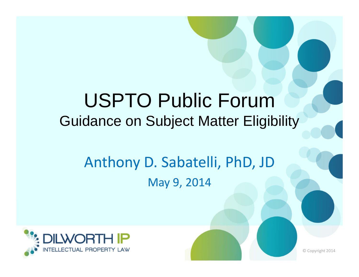## USPTO Public Forum Guidance on Subject Matter Eligibility

## Anthony D. Sabatelli, PhD, JD May 9, 2014



© Copyright 2014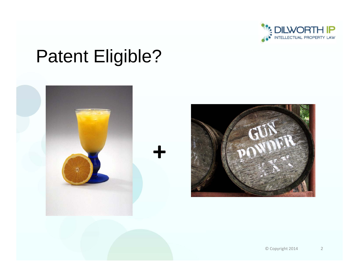

# Patent Eligible?



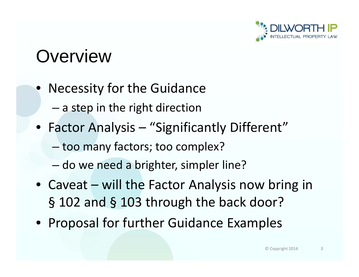

## **Overview**

- Necessity for the Guidance
	- – $-$  a step in the right direction
- Factor Analysis "Significantly Different"
	- –too many factors; too complex?
	- –– do we need a brighter, simpler line?
- Caveat will the Factor Analysis now bring in § 102 and § 103 through the back door?
- Proposal for further Guidance Examples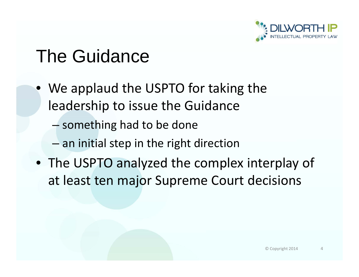

# The Guidance

- We applaud the USPTO for taking the leadership to issue the Guidance
	- – $-$  something had to be done
	- – $-$  an initial step in the right direction
- The USPTO analyzed the complex interplay of at least ten major Supreme Court decisions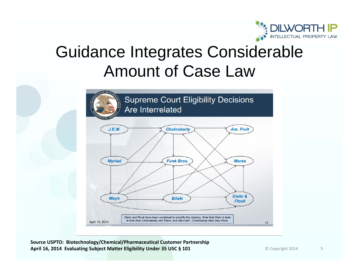

## Guidance Integrates Considerable Amount of Case Law



**Source USPTO: Biotechnology/Chemical/Pharmaceutical Customer Partnership April 16, 2014 Evaluating Subject Matter Eligibility Under 35 USC § 101**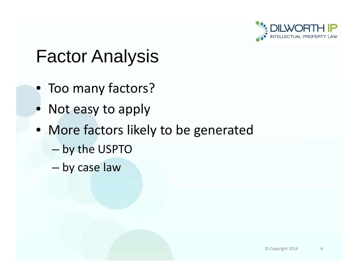

## Factor Analysis

- Too many factors?
- Not easy to apply
- More factors likely to be generated
	- by the USPTO
	- by case law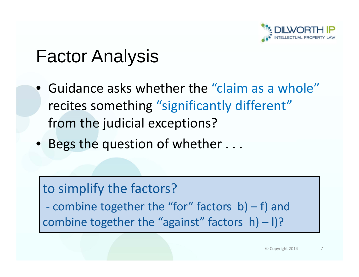

## Factor Analysis

- Guidance asks whether the "claim as a whole" recites something "significantly different" from the judicial exceptions?
- Begs the question of whether  $\dots$

### to simplify the factors?

‐ combine together the "for" factors b) – f) and combine together the "against" factors h) – l)?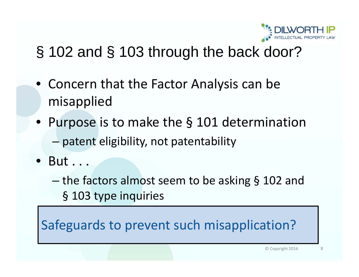

## § 102 and § 103 through the back door?

- Concern that the Factor Analysis can be misapplied
- Purpose is to make the § 101 determination
	- patent eligibility, not patentability
- But . . .
	- the factors almost seem to be asking § 102 and § 103 type inquiries

 leading to improper § 101 rejections? Safeguards to prevent such misapplication?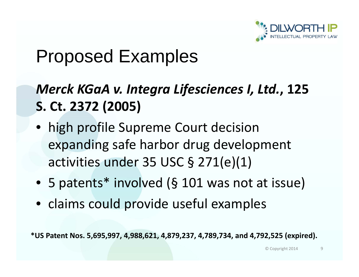

## Proposed Examples

### *Merck KGaA v. Integra Lifesciences I, Ltd.* **, 125 S. Ct. 2372 (2005)**

- high profile Supreme Court decision expanding safe harbor drug development activities under 35 USC § 271(e)(1)
- 5 patents\* involved (§ 101 was not at issue)
- claims could provide useful examples

**\*US Patent Nos. 5,695,997, 4,988,621, 4,879,237, 4,789,734, and 4,792,525 (expired).**

© Copyright 2014 9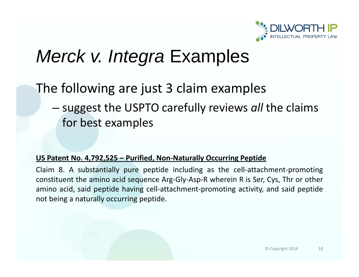

## *Merck v. Integra* Examples

### The following are just 3 claim examples

– suggest the USPTO carefully reviews *all* the claims for best examples

#### **US Patent No. 4,792,525 – Purified, Non‐Naturally Occurring Peptide**

Claim 8. A substantially pure peptide including as the cell‐attachment‐promoting constituent the amino acid sequence Arg‐Gly‐Asp‐R wherein R is Ser, Cys, Thr or other amino acid, said peptide having cell‐attachment‐promoting activity, and said peptide not being a naturally occurring peptide.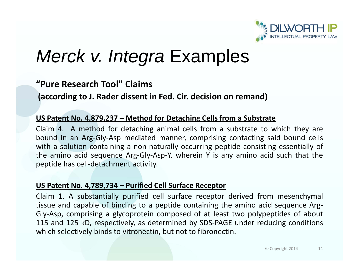

## *Merck v. Integra* Examples

### **"Pure Research Tool" Claims**

**(according to J. Rader dissent in Fed. Cir. decision on remand)**

#### **US Patent No. 4,879,237 – Method for Detaching Cells from a Substrate**

Claim 4. A method for detaching animal cells from a substrate to which they are bound in an Arg‐Gly‐Asp mediated manner, comprising contacting said bound cells with a solution containing a non-naturally occurring peptide consisting essentially of the amino acid sequence Arg‐Gly‐Asp‐Y, wherein Y is any amino acid such that the peptide has cell‐detachment activity.

#### **US Patent No. 4,789,734 – Purified Cell Surface Receptor**

Claim 1. A substantially purified cell surface receptor derived from mesenchymal tissue and capable of binding to a peptide containing the amino acid sequence Arg-Gly‐Asp, comprising a glycoprotein composed of at least two polypeptides of about 115 and 125 kD, respectively, as determined by SDS‐PAGE under reducing conditions which selectively binds to vitronectin, but not to fibronectin.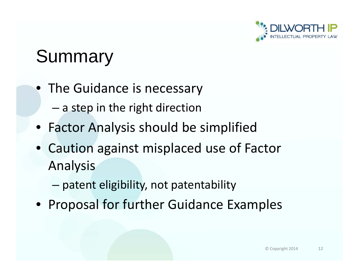

## Summary

- The Guidance is necessary
	- – $-$  a step in the right direction
- Factor Analysis should be simplified
- Caution against misplaced use of Factor Analysis
	- –patent eligibility, not patentability
- Proposal for further Guidance Examples